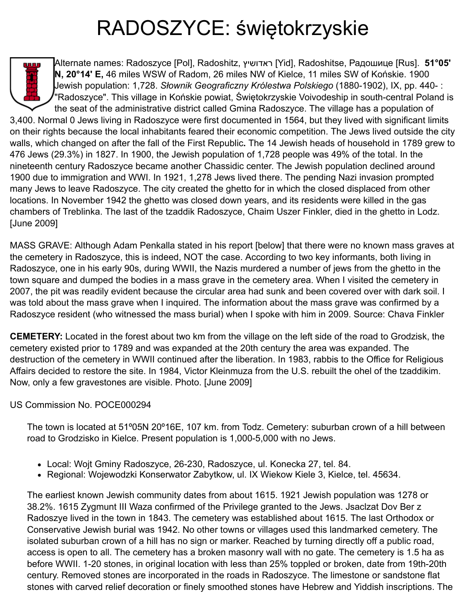## RADOSZYCE: świętokrzyskie



Alternate [names: Radoszyce \[Pol\], Radoshitz, ראדושיץ\] Yid\], Radoshitse, Радошице \[Rus\].](http://data.jewishgen.org/wconnect/wc.dll?jg%7Ejgsys%7Eshtetlexp5%7E-524927%7EZZ%7EMILES%7E%7E%7E%7E%7EFEATURE%7EY) **51°05' N, 20°14' E,** 46 miles WSW of Radom, 26 miles NW of Kielce, 11 miles SW of Końskie. 1900 Jewish population: 1,728. *Słownik Geograficzny Królestwa Polskiego* (1880-1902), IX, pp. 440- : ["Radoszyce". This village in Końskie powiat, Świętokrzyskie Voivodeship in south-central Poland](http://dir.icm.edu.pl/pl/Slownik_geograficzny/Tom_IX/440) is the seat of the administrative district called Gmina Radoszyce. The village has a population of

3,400. Normal 0 Jews living in Radoszyce were first documented in 1564, but they lived with significant limits on their rights because the local inhabitants feared their economic competition. The Jews lived outside the city walls, which changed on after the fall of the First Republic**.** The 14 Jewish heads of household in 1789 grew to 476 Jews (29.3%) in 1827. In 1900, the Jewish population of 1,728 people was 49% of the total. In the nineteenth century Radoszyce became another Chassidic center. The Jewish population declined around 1900 due to immigration and WWI. In 1921, 1,278 Jews lived there. The pending Nazi invasion prompted many Jews to leave Radoszyce. The city created the ghetto for in which the closed displaced from other locations. In November 1942 the ghetto was closed down years, and its residents were killed in the gas chambers of Treblinka. The last of the tzaddik Radoszyce, Chaim Uszer Finkler, died in the ghetto in Lodz. [June 2009]

MASS GRAVE: Although Adam Penkalla stated in his report [below] that there were no known mass graves at the cemetery in Radoszyce, this is indeed, NOT the case. According to two key informants, both living in Radoszyce, one in his early 90s, during WWII, the Nazis murdered a number of jews from the ghetto in the town square and dumped the bodies in a mass grave in the cemetery area. When I visited the cemetery in 2007, the pit was readily evident because the circular area had sunk and been covered over with dark soil. I was told about the mass grave when I inquired. The information about the mass grave was confirmed by a Radoszyce resident (who witnessed the mass burial) when I spoke with him in 2009. Source: [Chava Finkler](mailto:chavafinkler@gmail.com?subject=mass%20grave%20in%20Radoszyce)

**CEMETERY:** Located in the forest about two km from the village on the left side of the road to Grodzisk, the cemetery existed prior to 1789 and was expanded at the 20th century the area was expanded. The destruction of the cemetery in WWII continued after the liberation. In 1983, rabbis to the Office for Religious Affairs decided to restore the site. In 1984, Victor Kleinmuza from the U.S. rebuilt the ohel of the tzaddikim. Now, only a few gravestones are visible. [Photo](http://www.kirkuty.xip.pl/radoszyce.htm). [June 2009]

US Commission No. POCE000294

The town is located at 51º05N 20º16E, 107 km. from Todz. Cemetery: suburban crown of a hill between road to Grodzisko in Kielce. Present population is 1,000-5,000 with no Jews.

- Local: Wojt Gminy Radoszyce, 26-230, Radoszyce, ul. Konecka 27, tel. 84.
- Regional: Wojewodzki Konserwator Zabytkow, ul. IX Wiekow Kiele 3, Kielce, tel. 45634.

The earliest known Jewish community dates from about 1615. 1921 Jewish population was 1278 or 38.2%. 1615 Zygmunt III Waza confirmed of the Privilege granted to the Jews. Jsaclzat Dov Ber z Radoszye lived in the town in 1843. The cemetery was established about 1615. The last Orthodox or Conservative Jewish burial was 1942. No other towns or villages used this landmarked cemetery. The isolated suburban crown of a hill has no sign or marker. Reached by turning directly off a public road, access is open to all. The cemetery has a broken masonry wall with no gate. The cemetery is 1.5 ha as before WWII. 1-20 stones, in original location with less than 25% toppled or broken, date from 19th-20th century. Removed stones are incorporated in the roads in Radoszyce. The limestone or sandstone flat stones with carved relief decoration or finely smoothed stones have Hebrew and Yiddish inscriptions. The